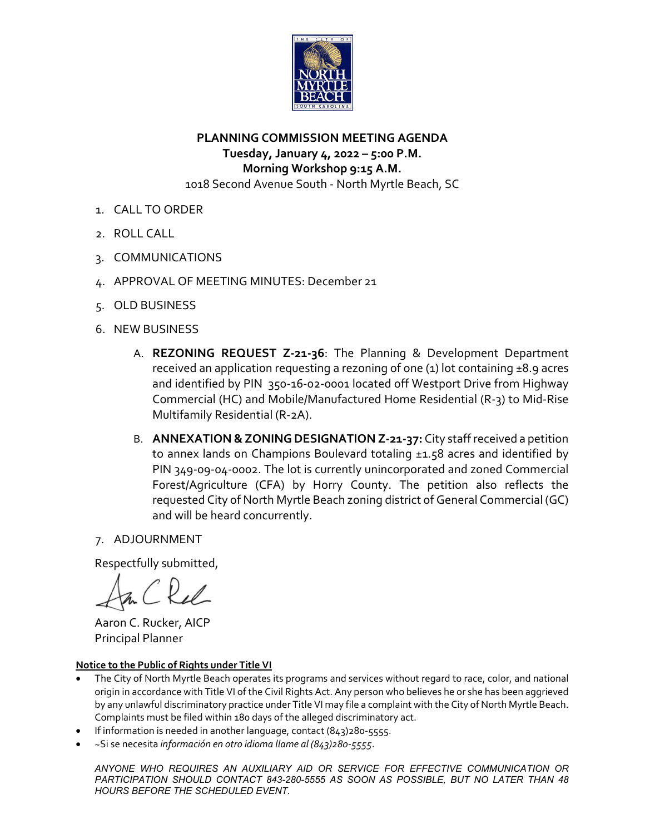

**PLANNING COMMISSION MEETING AGENDA Tuesday, January 4, 2022 – 5:00 P.M. Morning Workshop 9:15 A.M.** 1018 Second Avenue South ‐ North Myrtle Beach, SC

- 1. CALL TO ORDER
- 2. ROLL CALL
- 3. COMMUNICATIONS
- 4. APPROVAL OF MEETING MINUTES: December 21
- 5. OLD BUSINESS
- 6. NEW BUSINESS
	- A. **REZONING REQUEST Z‐21‐36**: The Planning & Development Department received an application requesting a rezoning of one  $(1)$  lot containing  $\pm 8.9$  acres and identified by PIN 350‐16‐02‐0001 located off Westport Drive from Highway Commercial (HC) and Mobile/Manufactured Home Residential (R‐3) to Mid‐Rise Multifamily Residential (R‐2A).
	- B. **ANNEXATION &ZONINGDESIGNATION Z‐21‐37:** City staffreceived a petition to annex lands on Champions Boulevard totaling ±1.58 acres and identified by PIN 349‐09‐04‐0002. The lot is currently unincorporated and zoned Commercial Forest/Agriculture (CFA) by Horry County. The petition also reflects the requested City of North Myrtle Beach zoning district of General Commercial (GC) and will be heard concurrently.

# 7. ADJOURNMENT

Respectfully submitted,

 Aaron C. Rucker, AICP Principal Planner

### **Notice to the Public of Rights under Title VI**

- The City of North Myrtle Beach operates its programs and services without regard to race, color, and national origin in accordance with Title VI of the Civil Rights Act. Any person who believes he or she has been aggrieved by any unlawful discriminatory practice under Title VI may file a complaint with the City of North Myrtle Beach. Complaints must be filed within 180 days of the alleged discriminatory act.
- If information is needed in another language, contact (843)280‐5555.
- ~Si se necesita *información en otro idioma llame al (843)280‐5555*.

*ANYONE WHO REQUIRES AN AUXILIARY AID OR SERVICE FOR EFFECTIVE COMMUNICATION OR PARTICIPATION SHOULD CONTACT 843-280-5555 AS SOON AS POSSIBLE, BUT NO LATER THAN 48 HOURS BEFORE THE SCHEDULED EVENT.*